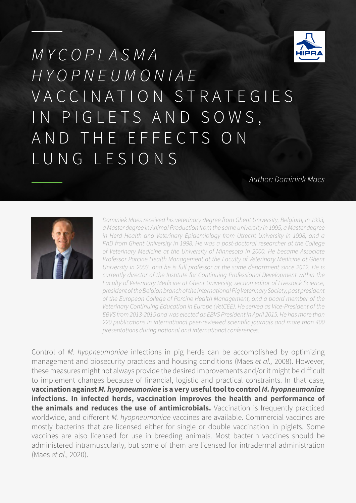

# *M Y C O P L A S M A HYOPNEUMONIAE* V A C C I N A T I O N S T R A T E G I E S IN PIGLETS AND SOWS, AND THE EFFECTS ON LUNG LESIONS

*Author: Dominiek Maes*



*Dominiek Maes received his veterinary degree from Ghent University, Belgium, in 1993, a Master degree in Animal Production from the same university in 1995, a Master degree in Herd Health and Veterinary Epidemiology from Utrecht University in 1998, and a PhD from Ghent University in 1998. He was a post-doctoral researcher at the College of Veterinary Medicine at the University of Minnesota in 2000. He became Associate Professor Porcine Health Management at the Faculty of Veterinary Medicine at Ghent University in 2003, and he is full professor at the same department since 2012. He is currently director of the Institute for Continuing Professional Development within the Faculty of Veterinary Medicine at Ghent University, section editor of Livestock Science, president of the Belgian branch of the International Pig Veterinary Society, past president of the European College of Porcine Health Management, and a board member of the Veterinary Continuing Education in Europe (VetCEE). He served as Vice-President of the EBVS from 2013-2015 and was elected as EBVS President in April 2015. He has more than 220 publications in international peer-reviewed scientific journals and more than 400 presentations during national and international conferences.*

Control of *M. hyopneumoniae* infections in pig herds can be accomplished by optimizing management and biosecurity practices and housing conditions (Maes *et al.,* 2008). However, these measures might not always provide the desired improvements and/or it might be difficult to implement changes because of financial, logistic and practical constraints. In that case, **vaccination against** *M. hyopneumoniae* **is a very useful tool to control** *M. hyopneumoniae* **infections. In infected herds, vaccination improves the health and performance of the animals and reduces the use of antimicrobials.** Vaccination is frequently practiced worldwide, and different *M. hyopneumoniae* vaccines are available. Commercial vaccines are mostly bacterins that are licensed either for single or double vaccination in piglets. Some vaccines are also licensed for use in breeding animals. Most bacterin vaccines should be administered intramuscularly, but some of them are licensed for intradermal administration (Maes *et al.,* 2020).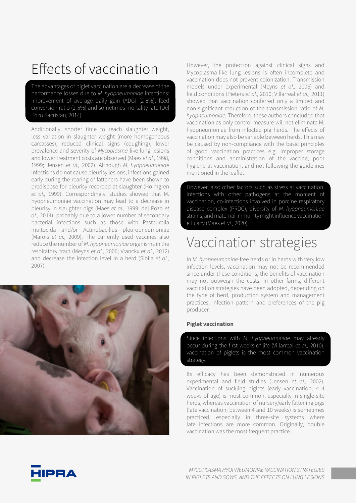## Effects of vaccination

The advantages of piglet vaccination are a decrease of the performance losses due to *M. hyopneumoniae* infections: improvement of average daily gain (ADG) (2-8%), feed conversion ratio (2-5%) and sometimes mortality rate (Del Pozo Sacristan, 2014).

Additionally, shorter time to reach slaughter weight, less variation in slaughter weight (more homogeneous carcasses), reduced clinical signs (coughing), lower prevalence and severity of *Mycoplasma*-like lung lesions and lower treatment costs are observed (Maes *et al.,* 1998, 1999; Jensen *et al.,* 2002). Although *M. hyopneumoniae*  infections do not cause pleurisy lesions, infections gained early during the rearing of fatteners have been shown to predispose for pleurisy recorded at slaughter (Holmgren *et al.,* 1999). Correspondingly, studies showed that M. hyopneumoniae vaccination may lead to a decrease in pleurisy in slaughter pigs (Maes *et al.,* 1999; del Pozo *et al.,* 2014), probably due to a lower number of secondary bacterial infections such as those with Pasteurella multocida and/or Actinobacillus pleuropneumoniae (Marois *et al.,* 2009). The currently used vaccines also reduce the number of *M. hyopneumoniae* organisms in the respiratory tract (Meyns *et al.,* 2006; Vranckx *et al.,* 2012) and decrease the infection level in a herd (Sibila *et al.,* 2007).

However, the protection against clinical signs and Mycoplasma-like lung lesions is often incomplete and vaccination does not prevent colonization. Transmission models under experimental (Meyns *et al.,* 2006) and field conditions (Pieters *et al.,* 2010; Villarreal *et al.,* 2011) showed that vaccination conferred only a limited and non-significant reduction of the transmission ratio of *M. hyopneumoniae*. Therefore, these authors concluded that vaccination as only control measure will not eliminate M. hyopneumoniae from infected pig herds. The effects of vaccination may also be variable between herds. This may be caused by non-compliance with the basic principles of good vaccination practices e.g. improper storage conditions and administration of the vaccine, poor hygiene at vaccination, and not following the guidelines mentioned in the leaflet.

However, also other factors such as stress at vaccination, infections with other pathogens at the moment of vaccination, co-infections involved in porcine respiratory disease complex (PRDC), diversity of *M. hyopneumoniae* strains, and maternal immunity might influence vaccination efficacy (Maes *et al.,* 2020).

### Vaccination strategies

In *M. hyopneumoniae*-free herds or in herds with very low infection levels, vaccination may not be recommended since under these conditions, the benefits of vaccination may not outweigh the costs. In other farms, different vaccination strategies have been adopted, depending on the type of herd, production system and management practices, infection pattern and preferences of the pig producer.

#### **Piglet vaccination**

Since infections with *M. hyopneumoniae* may already occur during the first weeks of life (Villarreal *et al.,* 2010), vaccination of piglets is the most common vaccination strategy.

Its efficacy has been demonstrated in numerous experimental and field studies (Jensen *et al.,* 2002). Vaccination of suckling piglets (early vaccination; < 4 weeks of age) is most common, especially in single-site herds, whereas vaccination of nursery/early fattening pigs (late vaccination; between 4 and 10 weeks) is sometimes practiced, especially in three-site systems where late infections are more common. Originally, double vaccination was the most frequent practice.

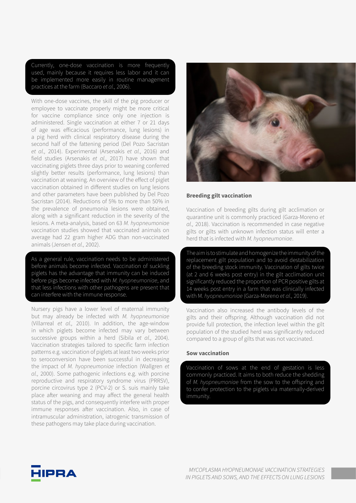Currently, one-dose vaccination is more frequently used, mainly because it requires less labor and it can be implemented more easily in routine management practices at the farm (Baccaro *et al.,* 2006).

With one-dose vaccines, the skill of the pig producer or employee to vaccinate properly might be more critical for vaccine compliance since only one injection is administered. Single vaccination at either 7 or 21 days of age was efficacious (performance, lung lesions) in a pig herd with clinical respiratory disease during the second half of the fattening period (Del Pozo Sacristan *et al.,* 2014). Experimental (Arsenakis *et al.,* 2016) and field studies (Arsenakis *et al.,* 2017) have shown that vaccinating piglets three days prior to weaning conferred slightly better results (performance, lung lesions) than vaccination at weaning. An overview of the effect of piglet vaccination obtained in different studies on lung lesions and other parameters have been published by Del Pozo Sacristan (2014). Reductions of 5% to more than 50% in the prevalence of pneumonia lesions were obtained, along with a significant reduction in the severity of the lesions. A meta-analysis, based on 63 *M. hyopneumoniae*  vaccination studies showed that vaccinated animals on average had 22 gram higher ADG than non-vaccinated animals (Jensen *et al.,* 2002).

As a general rule, vaccination needs to be administered before animals become infected. Vaccination of suckling piglets has the advantage that immunity can be induced before pigs become infected with *M. hyopneumoniae*, and that less infections with other pathogens are present that can interfere with the immune response.

Nursery pigs have a lower level of maternal immunity but may already be infected with *M. hyopneumoniae*  (Villarreal *et al.,* 2010). In addition, the age-window in which piglets become infected may vary between successive groups within a herd (Sibila *et al.,* 2004). Vaccination strategies tailored to specific farm infection patterns e.g. vaccination of piglets at least two weeks prior to seroconversion have been successful in decreasing the impact of *M. hyopneumoniae* infection (Wallgren *et al.,* 2000). Some pathogenic infections e.g. with porcine reproductive and respiratory syndrome virus (PRRSV), porcine circovirus type 2 (PCV-2) or S. suis mainly take place after weaning and may affect the general health status of the pigs, and consequently interfere with proper immune responses after vaccination. Also, in case of intramuscular administration, iatrogenic transmission of these pathogens may take place during vaccination.



#### **Breeding gilt vaccination**

Vaccination of breeding gilts during gilt acclimation or quarantine unit is commonly practiced (Garza-Moreno *et al.,* 2018). Vaccination is recommended in case negative gilts or gilts with unknown infection status will enter a herd that is infected with *M. hyopneumoniae*.

The aim is to stimulate and homogenize the immunity of the replacement gilt population and to avoid destabilization of the breeding stock immunity. Vaccination of gilts twice (at 2 and 6 weeks post entry) in the gilt acclimation unit significantly reduced the proportion of PCR positive gilts at 14 weeks post entry in a farm that was clinically infected with M*. hyopneumoniae* (Garza-Moreno *et al.,* 2019).

Vaccination also increased the antibody levels of the gilts and their offspring. Although vaccination did not provide full protection, the infection level within the gilt population of the studied herd was significantly reduced compared to a group of gilts that was not vaccinated.

#### **Sow vaccination**

Vaccination of sows at the end of gestation is less commonly practiced. It aims to both reduce the shedding of *M. hyopneumoniae* from the sow to the offspring and to confer protection to the piglets via maternally-derived immunity.

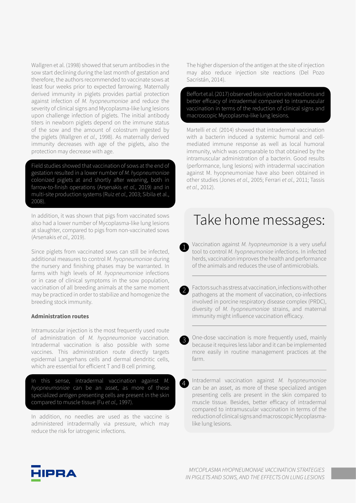Wallgren et al. (1998) showed that serum antibodies in the sow start declining during the last month of gestation and therefore, the authors recommended to vaccinate sows at least four weeks prior to expected farrowing. Maternally derived immunity in piglets provides partial protection against infection of *M. hyopneumoniae* and reduce the severity of clinical signs and Mycoplasma-like lung lesions upon challenge infection of piglets. The initial antibody titers in newborn piglets depend on the immune status of the sow and the amount of colostrum ingested by the piglets (Wallgren *et al.,* 1998). As maternally derived immunity decreases with age of the piglets, also the protection may decrease with age.

Field studies showed that vaccination of sows at the end of gestation resulted in a lower number of *M. hyopneumoniae* colonized piglets at and shortly after weaning, both in farrow-to-finish operations (Arsenakis *et al.,* 2019) and in multi-site production systems (Ruiz *et al.,* 2003; Sibila et al., 2008).

In addition, it was shown that pigs from vaccinated sows also had a lower number of Mycoplasma-like lung lesions at slaughter, compared to pigs from non-vaccinated sows (Arsenakis *et al.,* 2019).

Since piglets from vaccinated sows can still be infected, additional measures to control *M. hyopneumoniae* during the nursery and finishing phases may be warranted. In farms with high levels of *M. hyopneumoniae* infections or in case of clinical symptoms in the sow population, vaccination of all breeding animals at the same moment may be practiced in order to stabilize and homogenize the breeding stock immunity.

#### **Administration routes**

Intramuscular injection is the most frequently used route of administration of *M. hyopneumoniae* vaccination. Intradermal vaccination is also possible with some vaccines. This administration route directly targets epidermal Langerhans cells and dermal dendritic cells, which are essential for efficient T and B cell priming.

In this sense, intradermal vaccination against *M. hyopneumoniae* can be an asset, as more of these specialized antigen presenting cells are present in the skin compared to muscle tissue (Fu *et al.,* 1997).

In addition, no needles are used as the vaccine is administered intradermally via pressure, which may reduce the risk for iatrogenic infections.

The higher dispersion of the antigen at the site of injection may also reduce injection site reactions (Del Pozo Sacristán, 2014).

Beffort et al. (2017) observed less injection site reactions and better efficacy of intradermal compared to intramuscular vaccination in terms of the reduction of clinical signs and macroscopic Mycoplasma-like lung lesions.

Martelli *et al.* (2014) showed that intradermal vaccination with a bacterin induced a systemic humoral and cellmediated immune response as well as local humoral immunity, which was comparable to that obtained by the intramuscular administration of a bacterin. Good results (performance, lung lesions) with intradermal vaccination against M. hyopneumoniae have also been obtained in other studies (Jones *et al.,* 2005; Ferrari *et al.,* 2011; Tassis *et al.,* 2012).

### Take home messages:

Vaccination against *M. hyopneumoniae* is a very useful tool to control *M. hyopneumoniae* infections. In infected herds, vaccination improves the health and performance of the animals and reduces the use of antimicrobials. 1

Factors such as stress at vaccination, infections with other pathogens at the moment of vaccination, co-infections involved in porcine respiratory disease complex (PRDC), diversity of *M. hyopneumoniae* strains, and maternal immunity might influence vaccination efficacy.

2

3

4

One-dose vaccination is more frequently used, mainly because it requires less labor and it can be implemented more easily in routine management practices at the farm.

Intradermal vaccination against *M. hyopneumoniae* can be an asset, as more of these specialized antigen presenting cells are present in the skin compared to muscle tissue. Besides, better efficacy of intradermal compared to intramuscular vaccination in terms of the reduction of clinical signs and macroscopic Mycoplasmalike lung lesions.

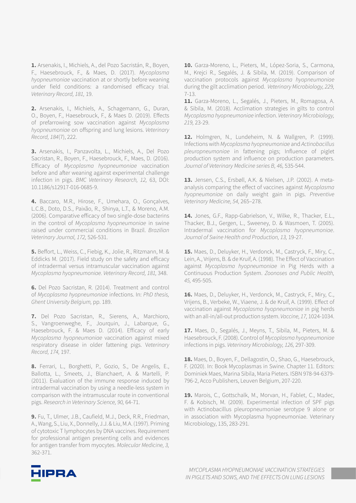**1.** Arsenakis, I., Michiels, A., del Pozo Sacristán, R., Boyen, F., Haesebrouck, F., & Maes, D. (2017). *Mycoplasma hyopneumoniae* vaccination at or shortly before weaning under field conditions: a randomised efficacy trial. *Veterinary Record, 181,* 19.

**2.** Arsenakis, I., Michiels, A., Schagemann, G., Duran, O., Boyen, F., Haesebrouck, F., & Maes D. (2019). Effects of prefarrowing sow vaccination against *Mycoplasma hyopneumoniae* on offspring and lung lesions. *Veterinary Record, 184*(7), 222.

**3.** Arsenakis, I., Panzavolta, L., Michiels, A., Del Pozo Sacristan, R., Boyen, F., Haesebrouck, F., Maes, D. (2016). Efficacy of *Mycoplasma hyopneumoniae* vaccination before and after weaning against experimental challenge infection in pigs. *BMC Veterinary Research, 12,* 63, DOI: 10.1186/s12917-016-0685-9.

**4.** Baccaro, M.R., Hirose, F., Umehara, O., Gonçalves, L.C.B., Doto, D.S., Paixão, R., Shinya, L.T., & Moreno, A.M. (2006). Comparative efficacy of two single-dose bacterins in the control of *Mycoplasma hyopneumoniae* in swine raised under commercial conditions in Brazil. *Brazilian Veterinary Journal, 172,* 526-531.

**5.** Beffort, L., Weiss, C., Fiebig, K., Jolie, R., Ritzmann, M. & Eddicks M. (2017). Field study on the safety and efficacy of intradermal versus intramuscular vaccination against *Mycoplasma hyopneumoniae. Veterinary Record, 181,* 348.

**6.** Del Pozo Sacristan, R. (2014). Treatment and control of *Mycoplasma hyopneumoniae* infections. In: *PhD thesis, Ghent University Belgium,* pp. 189.

**7.** Del Pozo Sacristan, R., Sierens, A., Marchioro, S., Vangroenweghe, F., Jourquin, J., Labarque, G., Haesebrouck, F. & Maes D. (2014). Efficacy of early *Mycoplasma hyopneumoniae* vaccination against mixed respiratory disease in older fattening pigs. V*eterinary Record, 174,* 197.

**8.** Ferrari, L., Borghetti, P., Gozio, S., De Angelis, E., Ballotta, L., Smeets, J., Blanchaert, A. & Martelli, P. (2011). Evaluation of the immune response induced by intradermal vaccination by using a needle-less system in comparison with the intramuscular route in conventional pigs. *Research in Veterinary Science, 90,* 64-71.

**9.** Fu, T., Ulmer, J.B., Caufield, M.J., Deck, R.R., Friedman, A., Wang, S., Liu, X., Donnelly, J.J. & Liu, M.A. (1997). Priming of cytotoxic T lymphocytes by DNA vaccines. Requirement for professional antigen presenting cells and evidences for antigen transfer from myocytes. *Molecular Medicine, 3,* 362-371.

**10.** Garza-Moreno, L., Pieters, M., López-Soria, S., Carmona, M., Krejci R., Segalés, J. & Sibila, M. (2019). Comparison of vaccination protocols against *Mycoplasma hyopneumoniae* during the gilt acclimation period. *Veterinary Microbiology, 229,* 7-13.

**11.** Garza-Moreno, L., Segalés, J., Pieters, M., Romagosa, A. & Sibila, M. (2018). Acclimation strategies in gilts to control *Mycoplasma hyopneumoniae* infection. *Veterinary Microbiology, 219,* 23-29.

**12.** Holmgren, N., Lundeheim, N. & Wallgren, P. (1999). Infections with *Mycoplasma hyopneumoniae* and *Actinobacillus pleuropneumoniae* in fattening pigs; Influence of piglet production system and influence on production parameters. *Journal of Veterinary Medicine series B, 46,* 535-544.

**13.** Jensen, C.S., Ersbøll, A.K. & Nielsen, J.P. (2002). A metaanalysis comparing the effect of vaccines against *Mycoplasma hyopneumoniae* on daily weight gain in pigs. *Preventive Veterinary Medicine, 54,* 265–278.

**14.** Jones, G.F., Rapp-Gabrielson, V., Wilke, R., Thacker, E.L., Thacker, B.J., Gergen, L., Sweeney, D. & Wasmoen, T. (2005). Intradermal vaccination for *Mycoplasma hyopneumoniae*. *Journal of Swine Health and Production, 13,* 19-27.

**15.** Maes, D., Deluyker, H., Verdonck, M., Castryck, F., Miry, C., Lein, A., Vrijens, B. & de Kruif, A. (1998). The Effect of Vaccination against *Mycoplasma hyopneumoniae* in Pig Herds with a Continuous Production System. *Zoonoses and Public Health, 45,* 495-505.

**16.** Maes, D., Deluyker, H., Verdonck, M., Castryck, F., Miry, C., Vrijens, B., Verbeke, W., Viaene, J. & de Kruif, A. (1999). Effect of vaccination against *Mycoplasma hyopneumoniae* in pig herds with an all-in/all-out production system. *Vaccine, 17,* 1024-1034.

**17.** Maes, D., Segalés, J., Meyns, T., Sibila, M., Pieters, M. & Haesebrouck, F. (2008). Control of *Mycoplasma hyopneumoniae* infections in pigs. *Veterinary Microbiology, 126,* 297-309.

**18.** Maes, D., Boyen, F., Dellagostin, O., Shao, G., Haesebrouck, F. (2020). In: Book Mycoplasmas in Swine. Chapter 11. Editors: Dominiek Maes, Marina Sibila, Maria Pieters. ISBN 978-94-6379- 796-2, Acco Publishers, Leuven Belgium, 207-220.

**19.** Marois, C., Gottschalk, M., Morvan, H., Fablet, C., Madec, F. & Kobisch, M. (2009). Experimental infection of SPF pigs with Actinobacillus pleuropneumoniae serotype 9 alone or in association with Mycoplasma hyopneumoniae. Veterinary Microbiology, 135, 283-291.